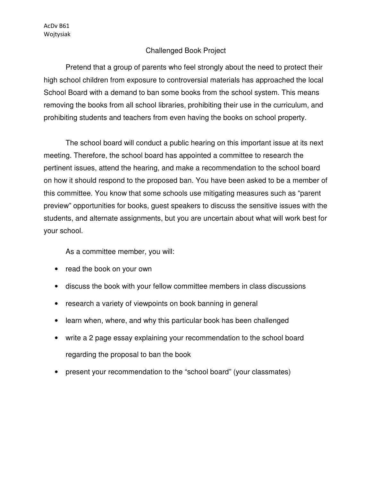## Challenged Book Project

Pretend that a group of parents who feel strongly about the need to protect their high school children from exposure to controversial materials has approached the local School Board with a demand to ban some books from the school system. This means removing the books from all school libraries, prohibiting their use in the curriculum, and prohibiting students and teachers from even having the books on school property.

The school board will conduct a public hearing on this important issue at its next meeting. Therefore, the school board has appointed a committee to research the pertinent issues, attend the hearing, and make a recommendation to the school board on how it should respond to the proposed ban. You have been asked to be a member of this committee. You know that some schools use mitigating measures such as "parent preview" opportunities for books, guest speakers to discuss the sensitive issues with the students, and alternate assignments, but you are uncertain about what will work best for your school.

As a committee member, you will:

- read the book on your own
- discuss the book with your fellow committee members in class discussions
- research a variety of viewpoints on book banning in general
- learn when, where, and why this particular book has been challenged
- write a 2 page essay explaining your recommendation to the school board regarding the proposal to ban the book
- present your recommendation to the "school board" (your classmates)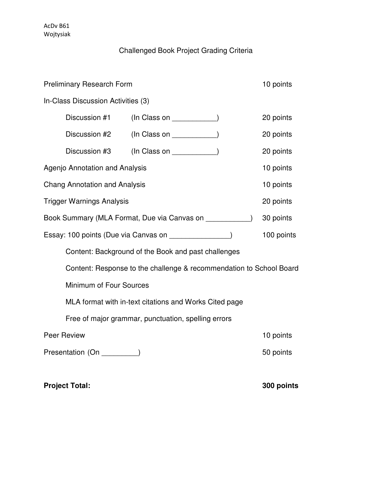## Challenged Book Project Grading Criteria

| <b>Preliminary Research Form</b>                                    |                                                        |                        | 10 points  |  |
|---------------------------------------------------------------------|--------------------------------------------------------|------------------------|------------|--|
| In-Class Discussion Activities (3)                                  |                                                        |                        |            |  |
|                                                                     | Discussion #1                                          | $(ln Class on _______$ | 20 points  |  |
|                                                                     | Discussion #2                                          |                        | 20 points  |  |
|                                                                     | Discussion #3                                          | $(ln Class on _______$ | 20 points  |  |
| Agenjo Annotation and Analysis                                      |                                                        |                        | 10 points  |  |
| <b>Chang Annotation and Analysis</b>                                |                                                        |                        | 10 points  |  |
| <b>Trigger Warnings Analysis</b>                                    |                                                        |                        | 20 points  |  |
| Book Summary (MLA Format, Due via Canvas on _____________)          |                                                        |                        | 30 points  |  |
| Essay: 100 points (Due via Canvas on <b>Canvas 100</b> )            |                                                        |                        | 100 points |  |
| Content: Background of the Book and past challenges                 |                                                        |                        |            |  |
| Content: Response to the challenge & recommendation to School Board |                                                        |                        |            |  |
|                                                                     | Minimum of Four Sources                                |                        |            |  |
|                                                                     | MLA format with in-text citations and Works Cited page |                        |            |  |
| Free of major grammar, punctuation, spelling errors                 |                                                        |                        |            |  |
| Peer Review                                                         |                                                        |                        | 10 points  |  |
| Presentation (On _________)                                         |                                                        |                        | 50 points  |  |
|                                                                     |                                                        |                        |            |  |

**Project Total:** 300 points **100 points 100 points**